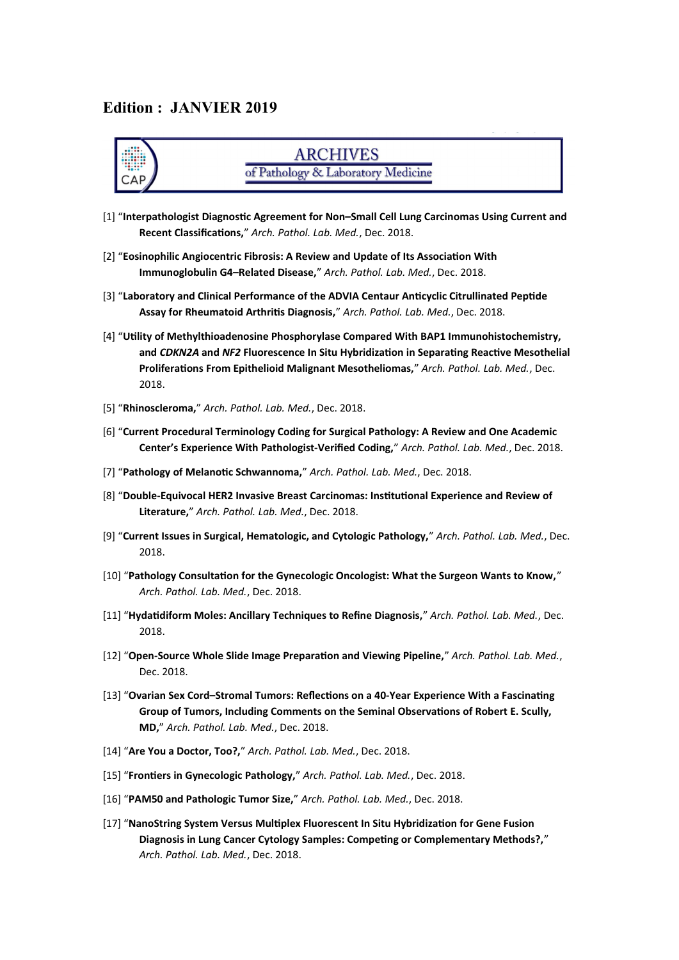#### **Edition : JANVIER 2019**



### **ARCHIVES** of Pathology & Laboratory Medicine

- [1] "**Interpathologist Diagnostic Agreement for Non–Small Cell Lung Carcinomas Using Current and Recent Classifications,**" *Arch. Pathol. Lab. Med.*, Dec. 2018.
- [2] "**Eosinophilic Angiocentric Fibrosis: A Review and Update of Its Association With Immunoglobulin G4–Related Disease,**" *Arch. Pathol. Lab. Med.*, Dec. 2018.
- [3] "**Laboratory and Clinical Performance of the ADVIA Centaur Anticyclic Citrullinated Peptide Assay for Rheumatoid Arthritis Diagnosis,**" *Arch. Pathol. Lab. Med.*, Dec. 2018.
- [4] "**Utility of Methylthioadenosine Phosphorylase Compared With BAP1 Immunohistochemistry, and** *CDKN2A* **and** *NF2* **Fluorescence In Situ Hybridization in Separating Reactive Mesothelial Proliferations From Epithelioid Malignant Mesotheliomas,**" *Arch. Pathol. Lab. Med.*, Dec. 2018.
- [5] "**Rhinoscleroma,**" *Arch. Pathol. Lab. Med.*, Dec. 2018.
- [6] "**Current Procedural Terminology Coding for Surgical Pathology: A Review and One Academic Center's Experience With Pathologist-Verified Coding,**" *Arch. Pathol. Lab. Med.*, Dec. 2018.
- [7] "**Pathology of Melanotic Schwannoma,**" *Arch. Pathol. Lab. Med.*, Dec. 2018.
- [8] "**Double-Equivocal HER2 Invasive Breast Carcinomas: Institutional Experience and Review of Literature,**" *Arch. Pathol. Lab. Med.*, Dec. 2018.
- [9] "**Current Issues in Surgical, Hematologic, and Cytologic Pathology,**" *Arch. Pathol. Lab. Med.*, Dec. 2018.
- [10] "**Pathology Consultation for the Gynecologic Oncologist: What the Surgeon Wants to Know,**" *Arch. Pathol. Lab. Med.*, Dec. 2018.
- [11] "**Hydatidiform Moles: Ancillary Techniques to Refine Diagnosis,**" *Arch. Pathol. Lab. Med.*, Dec. 2018.
- [12] "**Open-Source Whole Slide Image Preparation and Viewing Pipeline,**" *Arch. Pathol. Lab. Med.*, Dec. 2018.
- [13] "**Ovarian Sex Cord–Stromal Tumors: Reflections on a 40-Year Experience With a Fascinating Group of Tumors, Including Comments on the Seminal Observations of Robert E. Scully, MD,**" *Arch. Pathol. Lab. Med.*, Dec. 2018.
- [14] "**Are You a Doctor, Too?,**" *Arch. Pathol. Lab. Med.*, Dec. 2018.
- [15] "**Frontiers in Gynecologic Pathology,**" *Arch. Pathol. Lab. Med.*, Dec. 2018.
- [16] "**PAM50 and Pathologic Tumor Size,**" *Arch. Pathol. Lab. Med.*, Dec. 2018.
- [17] "**NanoString System Versus Multiplex Fluorescent In Situ Hybridization for Gene Fusion Diagnosis in Lung Cancer Cytology Samples: Competing or Complementary Methods?,**" *Arch. Pathol. Lab. Med.*, Dec. 2018.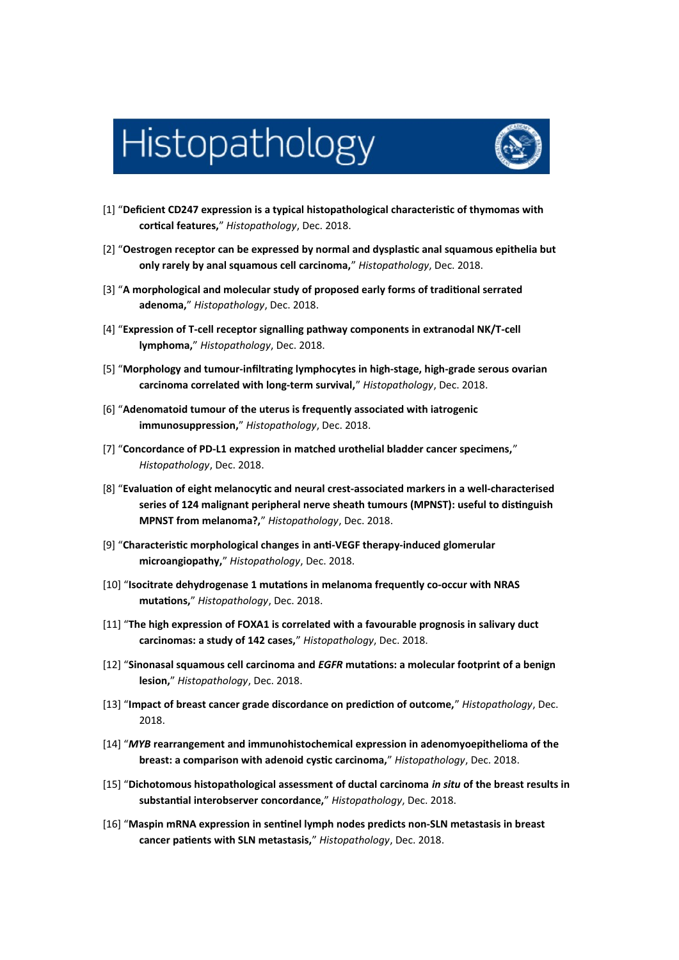# Histopathology



- [1] "**Deficient CD247 expression is a typical histopathological characteristic of thymomas with cortical features,**" *Histopathology*, Dec. 2018.
- [2] "**Oestrogen receptor can be expressed by normal and dysplastic anal squamous epithelia but only rarely by anal squamous cell carcinoma,**" *Histopathology*, Dec. 2018.
- [3] "**A morphological and molecular study of proposed early forms of traditional serrated adenoma,**" *Histopathology*, Dec. 2018.
- [4] "**Expression of T-cell receptor signalling pathway components in extranodal NK/T-cell lymphoma,**" *Histopathology*, Dec. 2018.
- [5] "**Morphology and tumour-infiltrating lymphocytes in high-stage, high-grade serous ovarian carcinoma correlated with long-term survival,**" *Histopathology*, Dec. 2018.
- [6] "**Adenomatoid tumour of the uterus is frequently associated with iatrogenic immunosuppression,**" *Histopathology*, Dec. 2018.
- [7] "**Concordance of PD-L1 expression in matched urothelial bladder cancer specimens,**" *Histopathology*, Dec. 2018.
- [8] "**Evaluation of eight melanocytic and neural crest-associated markers in a well-characterised series of 124 malignant peripheral nerve sheath tumours (MPNST): useful to distinguish MPNST from melanoma?,**" *Histopathology*, Dec. 2018.
- [9] "**Characteristic morphological changes in anti-VEGF therapy-induced glomerular microangiopathy,**" *Histopathology*, Dec. 2018.
- [10] "**Isocitrate dehydrogenase 1 mutations in melanoma frequently co-occur with NRAS mutations,**" *Histopathology*, Dec. 2018.
- [11] "**The high expression of FOXA1 is correlated with a favourable prognosis in salivary duct carcinomas: a study of 142 cases,**" *Histopathology*, Dec. 2018.
- [12] "**Sinonasal squamous cell carcinoma and** *EGFR* **mutations: a molecular footprint of a benign lesion,**" *Histopathology*, Dec. 2018.
- [13] "**Impact of breast cancer grade discordance on prediction of outcome,**" *Histopathology*, Dec. 2018.
- [14] "*MYB* **rearrangement and immunohistochemical expression in adenomyoepithelioma of the breast: a comparison with adenoid cystic carcinoma,**" *Histopathology*, Dec. 2018.
- [15] "**Dichotomous histopathological assessment of ductal carcinoma** *in situ* **of the breast results in substantial interobserver concordance,**" *Histopathology*, Dec. 2018.
- [16] "**Maspin mRNA expression in sentinel lymph nodes predicts non-SLN metastasis in breast cancer patients with SLN metastasis,**" *Histopathology*, Dec. 2018.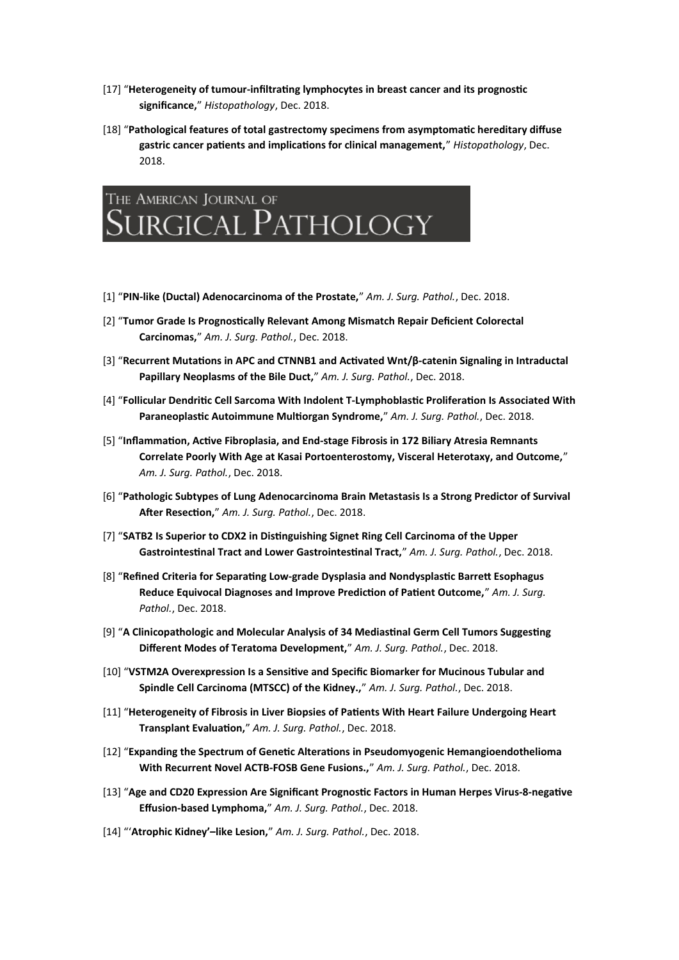- [17] "**Heterogeneity of tumour-infiltrating lymphocytes in breast cancer and its prognostic significance,**" *Histopathology*, Dec. 2018.
- [18] "**Pathological features of total gastrectomy specimens from asymptomatic hereditary diffuse gastric cancer patients and implications for clinical management,**" *Histopathology*, Dec. 2018.



- [1] "**PIN-like (Ductal) Adenocarcinoma of the Prostate,**" *Am. J. Surg. Pathol.*, Dec. 2018.
- [2] "**Tumor Grade Is Prognostically Relevant Among Mismatch Repair Deficient Colorectal Carcinomas,**" *Am. J. Surg. Pathol.*, Dec. 2018.
- [3] "**Recurrent Mutations in APC and CTNNB1 and Activated Wnt/β-catenin Signaling in Intraductal Papillary Neoplasms of the Bile Duct,**" *Am. J. Surg. Pathol.*, Dec. 2018.
- [4] "**Follicular Dendritic Cell Sarcoma With Indolent T-Lymphoblastic Proliferation Is Associated With Paraneoplastic Autoimmune Multiorgan Syndrome,**" *Am. J. Surg. Pathol.*, Dec. 2018.
- [5] "**Inflammation, Active Fibroplasia, and End-stage Fibrosis in 172 Biliary Atresia Remnants Correlate Poorly With Age at Kasai Portoenterostomy, Visceral Heterotaxy, and Outcome,**" *Am. J. Surg. Pathol.*, Dec. 2018.
- [6] "**Pathologic Subtypes of Lung Adenocarcinoma Brain Metastasis Is a Strong Predictor of Survival After Resection,**" *Am. J. Surg. Pathol.*, Dec. 2018.
- [7] "**SATB2 Is Superior to CDX2 in Distinguishing Signet Ring Cell Carcinoma of the Upper Gastrointestinal Tract and Lower Gastrointestinal Tract,**" *Am. J. Surg. Pathol.*, Dec. 2018.
- [8] "**Refined Criteria for Separating Low-grade Dysplasia and Nondysplastic Barrett Esophagus Reduce Equivocal Diagnoses and Improve Prediction of Patient Outcome,**" *Am. J. Surg. Pathol.*, Dec. 2018.
- [9] "**A Clinicopathologic and Molecular Analysis of 34 Mediastinal Germ Cell Tumors Suggesting Different Modes of Teratoma Development,**" *Am. J. Surg. Pathol.*, Dec. 2018.
- [10] "**VSTM2A Overexpression Is a Sensitive and Specific Biomarker for Mucinous Tubular and Spindle Cell Carcinoma (MTSCC) of the Kidney.,**" *Am. J. Surg. Pathol.*, Dec. 2018.
- [11] "**Heterogeneity of Fibrosis in Liver Biopsies of Patients With Heart Failure Undergoing Heart Transplant Evaluation,**" *Am. J. Surg. Pathol.*, Dec. 2018.
- [12] "**Expanding the Spectrum of Genetic Alterations in Pseudomyogenic Hemangioendothelioma With Recurrent Novel ACTB-FOSB Gene Fusions.,**" *Am. J. Surg. Pathol.*, Dec. 2018.
- [13] "**Age and CD20 Expression Are Significant Prognostic Factors in Human Herpes Virus-8-negative Effusion-based Lymphoma,**" *Am. J. Surg. Pathol.*, Dec. 2018.
- [14] "'**Atrophic Kidney'–like Lesion,**" *Am. J. Surg. Pathol.*, Dec. 2018.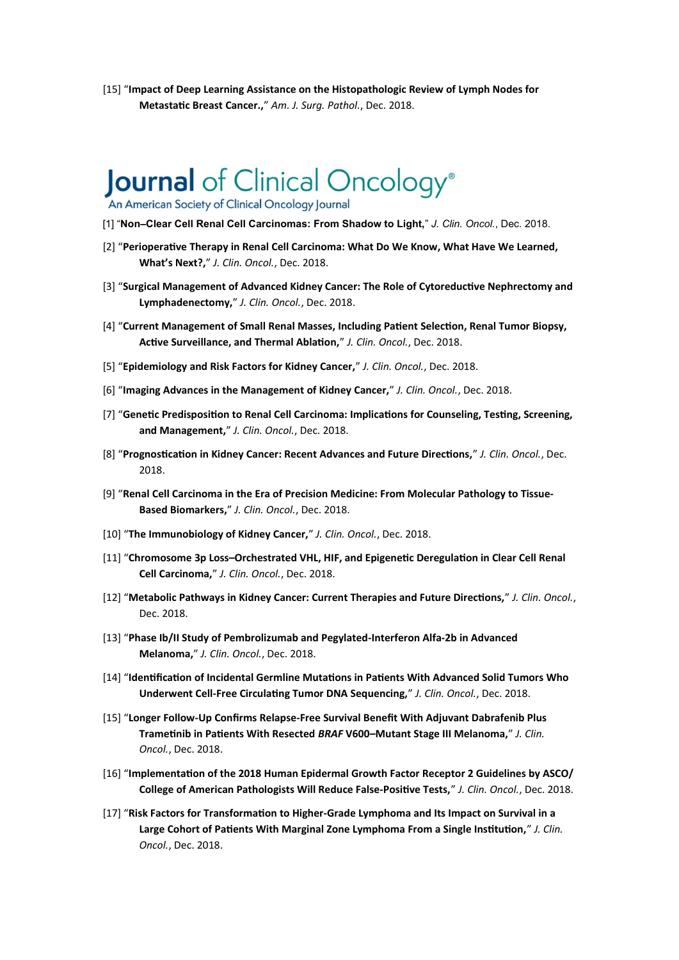[15] "**Impact of Deep Learning Assistance on the Histopathologic Review of Lymph Nodes for Metastatic Breast Cancer.,**" *Am. J. Surg. Pathol.*, Dec. 2018.

## Journal of Clinical Oncology®

An American Society of Clinical Oncology Journal

- [1] "**Non–Clear Cell Renal Cell Carcinomas: From Shadow to Light,**" *J. Clin. Oncol.*, Dec. 2018.
- [2] "**Perioperative Therapy in Renal Cell Carcinoma: What Do We Know, What Have We Learned, What's Next?,**" *J. Clin. Oncol.*, Dec. 2018.
- [3] "**Surgical Management of Advanced Kidney Cancer: The Role of Cytoreductive Nephrectomy and Lymphadenectomy,**" *J. Clin. Oncol.*, Dec. 2018.
- [4] "**Current Management of Small Renal Masses, Including Patient Selection, Renal Tumor Biopsy, Active Surveillance, and Thermal Ablation,**" *J. Clin. Oncol.*, Dec. 2018.
- [5] "**Epidemiology and Risk Factors for Kidney Cancer,**" *J. Clin. Oncol.*, Dec. 2018.
- [6] "**Imaging Advances in the Management of Kidney Cancer,**" *J. Clin. Oncol.*, Dec. 2018.
- [7] "**Genetic Predisposition to Renal Cell Carcinoma: Implications for Counseling, Testing, Screening, and Management,**" *J. Clin. Oncol.*, Dec. 2018.
- [8] "**Prognostication in Kidney Cancer: Recent Advances and Future Directions,**" *J. Clin. Oncol.*, Dec. 2018.
- [9] "**Renal Cell Carcinoma in the Era of Precision Medicine: From Molecular Pathology to Tissue-Based Biomarkers,**" *J. Clin. Oncol.*, Dec. 2018.
- [10] "**The Immunobiology of Kidney Cancer,**" *J. Clin. Oncol.*, Dec. 2018.
- [11] "**Chromosome 3p Loss–Orchestrated VHL, HIF, and Epigenetic Deregulation in Clear Cell Renal Cell Carcinoma,**" *J. Clin. Oncol.*, Dec. 2018.
- [12] "**Metabolic Pathways in Kidney Cancer: Current Therapies and Future Directions,**" *J. Clin. Oncol.*, Dec. 2018.
- [13] "**Phase Ib/II Study of Pembrolizumab and Pegylated-Interferon Alfa-2b in Advanced Melanoma,**" *J. Clin. Oncol.*, Dec. 2018.
- [14] "**Identification of Incidental Germline Mutations in Patients With Advanced Solid Tumors Who Underwent Cell-Free Circulating Tumor DNA Sequencing,**" *J. Clin. Oncol.*, Dec. 2018.
- [15] "**Longer Follow-Up Confirms Relapse-Free Survival Benefit With Adjuvant Dabrafenib Plus Trametinib in Patients With Resected** *BRAF* **V600–Mutant Stage III Melanoma,**" *J. Clin. Oncol.*, Dec. 2018.
- [16] "**Implementation of the 2018 Human Epidermal Growth Factor Receptor 2 Guidelines by ASCO/ College of American Pathologists Will Reduce False-Positive Tests,**" *J. Clin. Oncol.*, Dec. 2018.
- [17] "**Risk Factors for Transformation to Higher-Grade Lymphoma and Its Impact on Survival in a Large Cohort of Patients With Marginal Zone Lymphoma From a Single Institution,**" *J. Clin. Oncol.*, Dec. 2018.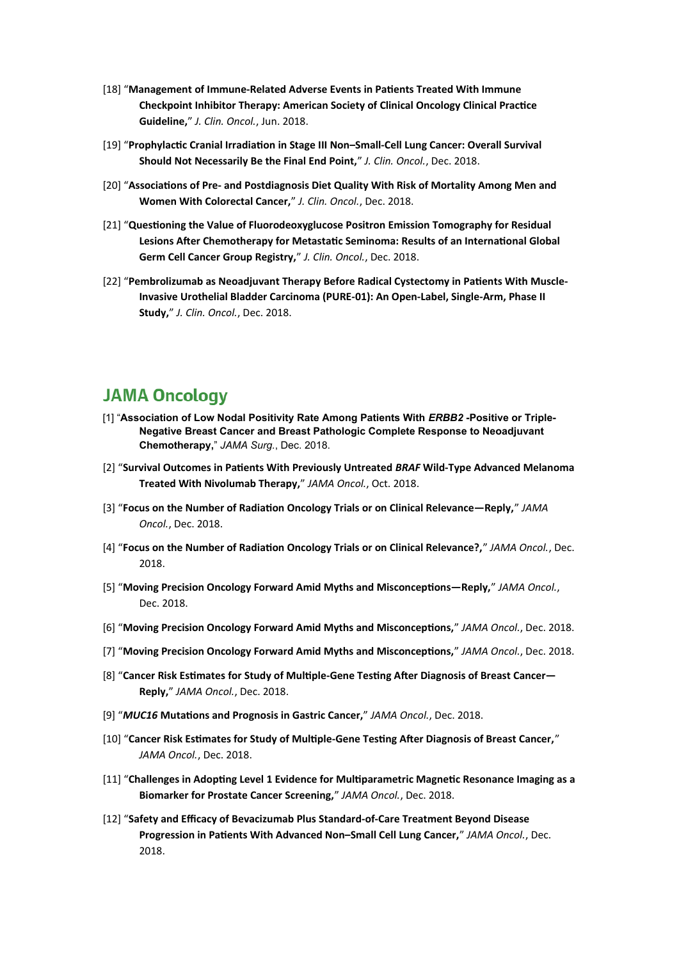- [18] "**Management of Immune-Related Adverse Events in Patients Treated With Immune Checkpoint Inhibitor Therapy: American Society of Clinical Oncology Clinical Practice Guideline,**" *J. Clin. Oncol.*, Jun. 2018.
- [19] "**Prophylactic Cranial Irradiation in Stage III Non–Small-Cell Lung Cancer: Overall Survival Should Not Necessarily Be the Final End Point,**" *J. Clin. Oncol.*, Dec. 2018.
- [20] "**Associations of Pre- and Postdiagnosis Diet Quality With Risk of Mortality Among Men and Women With Colorectal Cancer,**" *J. Clin. Oncol.*, Dec. 2018.
- [21] "**Questioning the Value of Fluorodeoxyglucose Positron Emission Tomography for Residual Lesions After Chemotherapy for Metastatic Seminoma: Results of an International Global Germ Cell Cancer Group Registry,**" *J. Clin. Oncol.*, Dec. 2018.
- [22] "**Pembrolizumab as Neoadjuvant Therapy Before Radical Cystectomy in Patients With Muscle-Invasive Urothelial Bladder Carcinoma (PURE-01): An Open-Label, Single-Arm, Phase II Study,**" *J. Clin. Oncol.*, Dec. 2018.

### **JAMA Oncology**

- [1] "**Association of Low Nodal Positivity Rate Among Patients With** *ERBB2* **-Positive or Triple-Negative Breast Cancer and Breast Pathologic Complete Response to Neoadjuvant Chemotherapy,**" *JAMA Surg.*, Dec. 2018.
- [2] "**Survival Outcomes in Patients With Previously Untreated** *BRAF* **Wild-Type Advanced Melanoma Treated With Nivolumab Therapy,**" *JAMA Oncol.*, Oct. 2018.
- [3] "**Focus on the Number of Radiation Oncology Trials or on Clinical Relevance—Reply,**" *JAMA Oncol.*, Dec. 2018.
- [4] "**Focus on the Number of Radiation Oncology Trials or on Clinical Relevance?,**" *JAMA Oncol.*, Dec. 2018.
- [5] "**Moving Precision Oncology Forward Amid Myths and Misconceptions—Reply,**" *JAMA Oncol.*, Dec. 2018.
- [6] "**Moving Precision Oncology Forward Amid Myths and Misconceptions,**" *JAMA Oncol.*, Dec. 2018.
- [7] "**Moving Precision Oncology Forward Amid Myths and Misconceptions,**" *JAMA Oncol.*, Dec. 2018.
- [8] "**Cancer Risk Estimates for Study of Multiple-Gene Testing After Diagnosis of Breast Cancer— Reply,**" *JAMA Oncol.*, Dec. 2018.
- [9] "*MUC16* **Mutations and Prognosis in Gastric Cancer,**" *JAMA Oncol.*, Dec. 2018.
- [10] "**Cancer Risk Estimates for Study of Multiple-Gene Testing After Diagnosis of Breast Cancer,**" *JAMA Oncol.*, Dec. 2018.
- [11] "**Challenges in Adopting Level 1 Evidence for Multiparametric Magnetic Resonance Imaging as a Biomarker for Prostate Cancer Screening,**" *JAMA Oncol.*, Dec. 2018.
- [12] "**Safety and Efficacy of Bevacizumab Plus Standard-of-Care Treatment Beyond Disease Progression in Patients With Advanced Non–Small Cell Lung Cancer,**" *JAMA Oncol.*, Dec. 2018.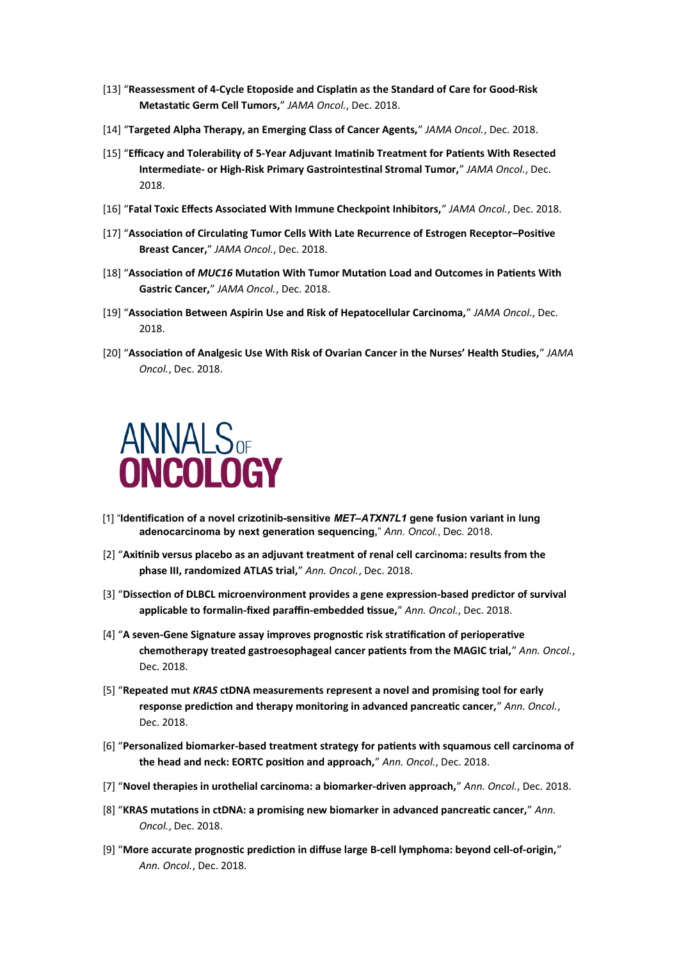- [13] "**Reassessment of 4-Cycle Etoposide and Cisplatin as the Standard of Care for Good-Risk Metastatic Germ Cell Tumors,**" *JAMA Oncol.*, Dec. 2018.
- [14] "**Targeted Alpha Therapy, an Emerging Class of Cancer Agents,**" *JAMA Oncol.*, Dec. 2018.
- [15] "**Efficacy and Tolerability of 5-Year Adjuvant Imatinib Treatment for Patients With Resected Intermediate- or High-Risk Primary Gastrointestinal Stromal Tumor,**" *JAMA Oncol.*, Dec. 2018.
- [16] "**Fatal Toxic Effects Associated With Immune Checkpoint Inhibitors,**" *JAMA Oncol.*, Dec. 2018.
- [17] "**Association of Circulating Tumor Cells With Late Recurrence of Estrogen Receptor–Positive Breast Cancer,**" *JAMA Oncol.*, Dec. 2018.
- [18] "**Association of** *MUC16* **Mutation With Tumor Mutation Load and Outcomes in Patients With Gastric Cancer,**" *JAMA Oncol.*, Dec. 2018.
- [19] "**Association Between Aspirin Use and Risk of Hepatocellular Carcinoma,**" *JAMA Oncol.*, Dec. 2018.
- [20] "**Association of Analgesic Use With Risk of Ovarian Cancer in the Nurses' Health Studies,**" *JAMA Oncol.*, Dec. 2018.



- [1] "**Identification of a novel crizotinib-sensitive** *MET–ATXN7L1* **gene fusion variant in lung adenocarcinoma by next generation sequencing,**" *Ann. Oncol.*, Dec. 2018.
- [2] "**Axitinib versus placebo as an adjuvant treatment of renal cell carcinoma: results from the phase III, randomized ATLAS trial,**" *Ann. Oncol.*, Dec. 2018.
- [3] "**Dissection of DLBCL microenvironment provides a gene expression-based predictor of survival applicable to formalin-fixed paraffin-embedded tissue,**" *Ann. Oncol.*, Dec. 2018.
- [4] "**A seven-Gene Signature assay improves prognostic risk stratification of perioperative chemotherapy treated gastroesophageal cancer patients from the MAGIC trial,**" *Ann. Oncol.*, Dec. 2018.
- [5] "**Repeated mut** *KRAS* **ctDNA measurements represent a novel and promising tool for early response prediction and therapy monitoring in advanced pancreatic cancer,**" *Ann. Oncol.*, Dec. 2018.
- [6] "**Personalized biomarker-based treatment strategy for patients with squamous cell carcinoma of the head and neck: EORTC position and approach,**" *Ann. Oncol.*, Dec. 2018.
- [7] "**Novel therapies in urothelial carcinoma: a biomarker-driven approach,**" *Ann. Oncol.*, Dec. 2018.
- [8] "**KRAS mutations in ctDNA: a promising new biomarker in advanced pancreatic cancer,**" *Ann. Oncol.*, Dec. 2018.
- [9] "**More accurate prognostic prediction in diffuse large B-cell lymphoma: beyond cell-of-origin,**" *Ann. Oncol.*, Dec. 2018.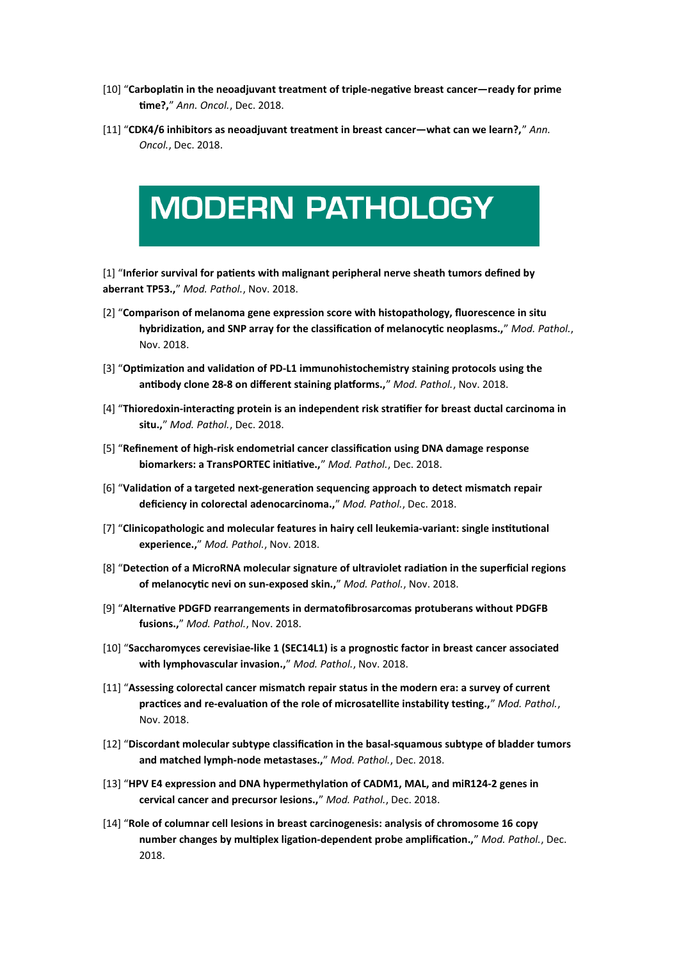- [10] "**Carboplatin in the neoadjuvant treatment of triple-negative breast cancer—ready for prime time?,**" *Ann. Oncol.*, Dec. 2018.
- [11] "**CDK4/6 inhibitors as neoadjuvant treatment in breast cancer—what can we learn?,**" *Ann. Oncol.*, Dec. 2018.



[1] "**Inferior survival for patients with malignant peripheral nerve sheath tumors defined by aberrant TP53.,**" *Mod. Pathol.*, Nov. 2018.

- [2] "**Comparison of melanoma gene expression score with histopathology, fluorescence in situ hybridization, and SNP array for the classification of melanocytic neoplasms.,**" *Mod. Pathol.*, Nov. 2018.
- [3] "**Optimization and validation of PD-L1 immunohistochemistry staining protocols using the antibody clone 28-8 on different staining platforms.,**" *Mod. Pathol.*, Nov. 2018.
- [4] "**Thioredoxin-interacting protein is an independent risk stratifier for breast ductal carcinoma in situ.,**" *Mod. Pathol.*, Dec. 2018.
- [5] "**Refinement of high-risk endometrial cancer classification using DNA damage response biomarkers: a TransPORTEC initiative.,**" *Mod. Pathol.*, Dec. 2018.
- [6] "**Validation of a targeted next-generation sequencing approach to detect mismatch repair deficiency in colorectal adenocarcinoma.,**" *Mod. Pathol.*, Dec. 2018.
- [7] "**Clinicopathologic and molecular features in hairy cell leukemia-variant: single institutional experience.,**" *Mod. Pathol.*, Nov. 2018.
- [8] "**Detection of a MicroRNA molecular signature of ultraviolet radiation in the superficial regions of melanocytic nevi on sun-exposed skin.,**" *Mod. Pathol.*, Nov. 2018.
- [9] "**Alternative PDGFD rearrangements in dermatofibrosarcomas protuberans without PDGFB fusions.,**" *Mod. Pathol.*, Nov. 2018.
- [10] "**Saccharomyces cerevisiae-like 1 (SEC14L1) is a prognostic factor in breast cancer associated with lymphovascular invasion.,**" *Mod. Pathol.*, Nov. 2018.
- [11] "**Assessing colorectal cancer mismatch repair status in the modern era: a survey of current practices and re-evaluation of the role of microsatellite instability testing.,**" *Mod. Pathol.*, Nov. 2018.
- [12] "**Discordant molecular subtype classification in the basal-squamous subtype of bladder tumors and matched lymph-node metastases.,**" *Mod. Pathol.*, Dec. 2018.
- [13] "**HPV E4 expression and DNA hypermethylation of CADM1, MAL, and miR124-2 genes in cervical cancer and precursor lesions.,**" *Mod. Pathol.*, Dec. 2018.
- [14] "**Role of columnar cell lesions in breast carcinogenesis: analysis of chromosome 16 copy number changes by multiplex ligation-dependent probe amplification.,**" *Mod. Pathol.*, Dec. 2018.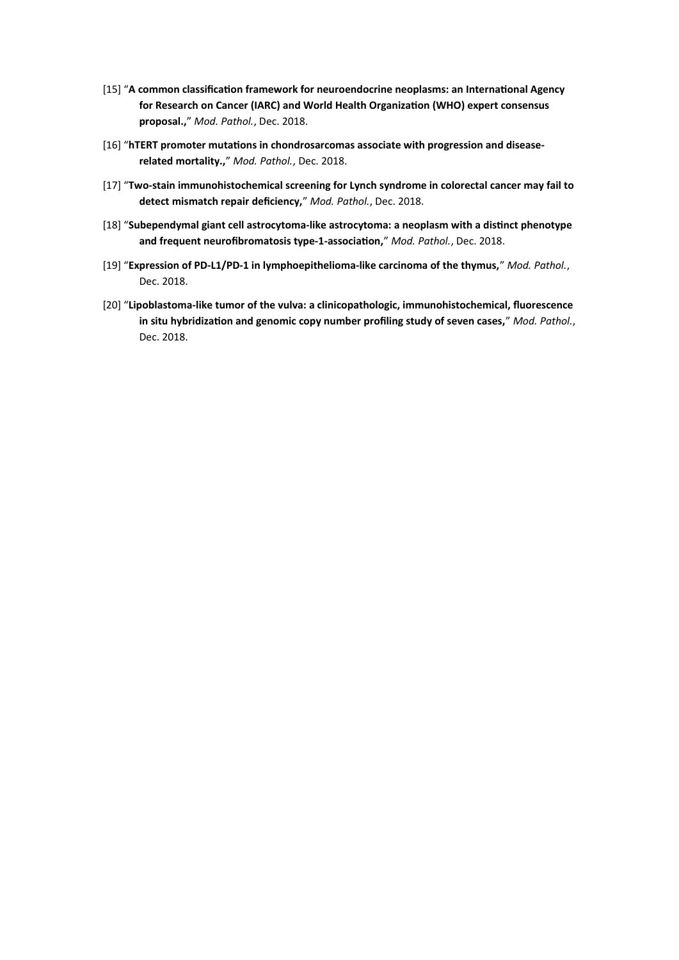- [15] "**A common classification framework for neuroendocrine neoplasms: an International Agency for Research on Cancer (IARC) and World Health Organization (WHO) expert consensus proposal.,**" *Mod. Pathol.*, Dec. 2018.
- [16] "**hTERT promoter mutations in chondrosarcomas associate with progression and diseaserelated mortality.,**" *Mod. Pathol.*, Dec. 2018.
- [17] "**Two-stain immunohistochemical screening for Lynch syndrome in colorectal cancer may fail to detect mismatch repair deficiency,**" *Mod. Pathol.*, Dec. 2018.
- [18] "**Subependymal giant cell astrocytoma-like astrocytoma: a neoplasm with a distinct phenotype and frequent neurofibromatosis type-1-association,**" *Mod. Pathol.*, Dec. 2018.
- [19] "**Expression of PD-L1/PD-1 in lymphoepithelioma-like carcinoma of the thymus,**" *Mod. Pathol.*, Dec. 2018.
- [20] "**Lipoblastoma-like tumor of the vulva: a clinicopathologic, immunohistochemical, fluorescence in situ hybridization and genomic copy number profiling study of seven cases,**" *Mod. Pathol.*, Dec. 2018.